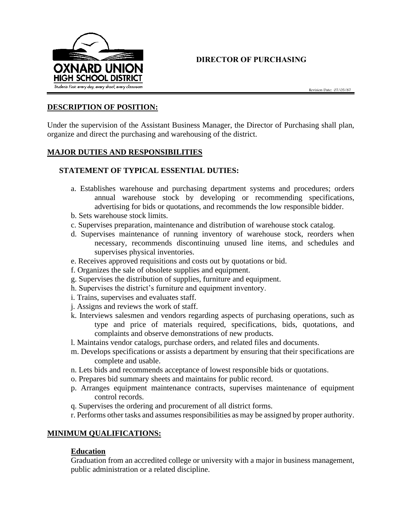

# **DIRECTOR OF PURCHASING**

Revision Date: 07/05/87

#### **DESCRIPTION OF POSITION:**

Under the supervision of the Assistant Business Manager, the Director of Purchasing shall plan, organize and direct the purchasing and warehousing of the district.

## **MAJOR DUTIES AND RESPONSIBILITIES**

## **STATEMENT OF TYPICAL ESSENTIAL DUTIES:**

- a. Establishes warehouse and purchasing department systems and procedures; orders annual warehouse stock by developing or recommending specifications, advertising for bids or quotations, and recommends the low responsible bidder.
- b. Sets warehouse stock limits.
- c. Supervises preparation, maintenance and distribution of warehouse stock catalog.
- d. Supervises maintenance of running inventory of warehouse stock, reorders when necessary, recommends discontinuing unused line items, and schedules and supervises physical inventories.
- e. Receives approved requisitions and costs out by quotations or bid.
- f. Organizes the sale of obsolete supplies and equipment.
- g. Supervises the distribution of supplies, furniture and equipment.
- h. Supervises the district's furniture and equipment inventory.
- i. Trains, supervises and evaluates staff.
- j. Assigns and reviews the work of staff.
- k. Interviews salesmen and vendors regarding aspects of purchasing operations, such as type and price of materials required, specifications, bids, quotations, and complaints and observe demonstrations of new products.
- l. Maintains vendor catalogs, purchase orders, and related files and documents.
- m. Develops specifications or assists a department by ensuring that their specifications are complete and usable.
- n. Lets bids and recommends acceptance of lowest responsible bids or quotations.
- o. Prepares bid summary sheets and maintains for public record.
- p. Arranges equipment maintenance contracts, supervises maintenance of equipment control records.
- q. Supervises the ordering and procurement of all district forms.
- r. Performs other tasks and assumes responsibilities as may be assigned by proper authority.

#### **MINIMUM QUALIFICATIONS:**

#### **Education**

Graduation from an accredited college or university with a major in business management, public administration or a related discipline.